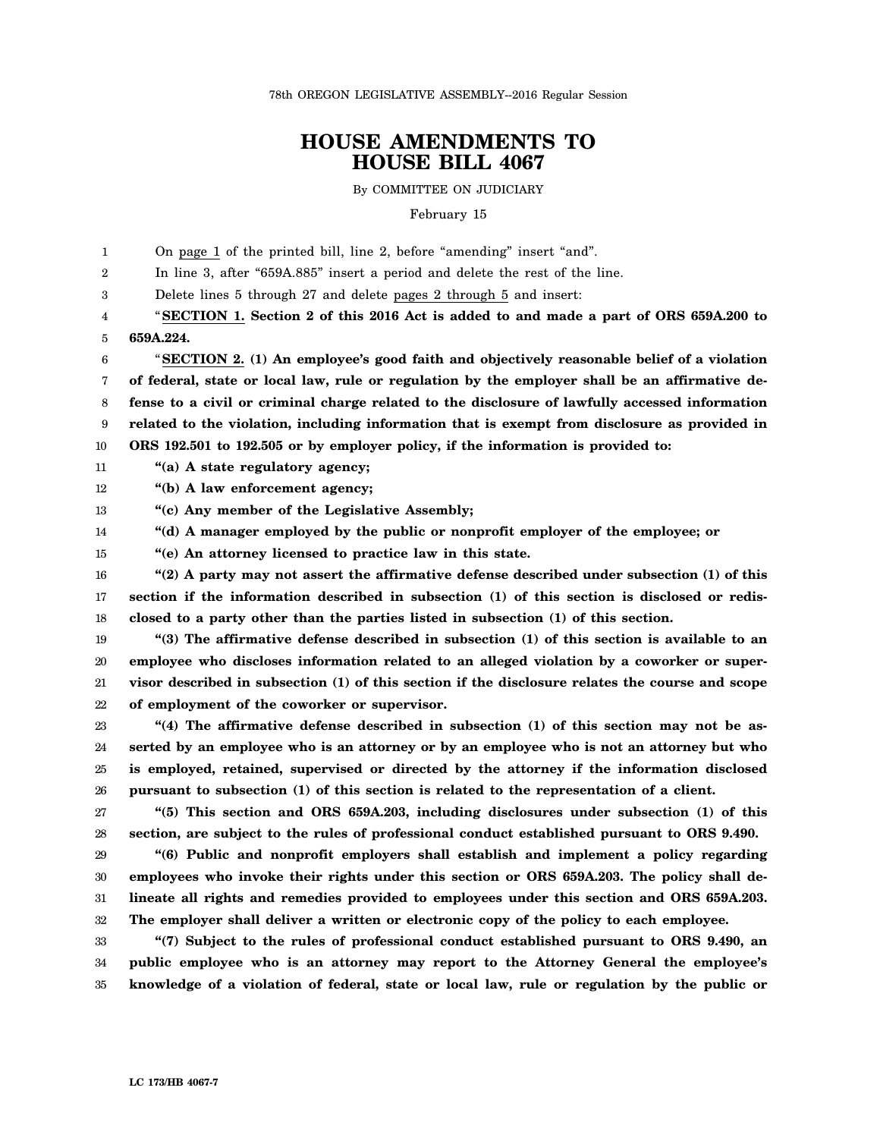78th OREGON LEGISLATIVE ASSEMBLY--2016 Regular Session

## **HOUSE AMENDMENTS TO HOUSE BILL 4067**

By COMMITTEE ON JUDICIARY

February 15

1 On page 1 of the printed bill, line 2, before "amending" insert "and".

2 In line 3, after "659A.885" insert a period and delete the rest of the line.

3 Delete lines 5 through 27 and delete pages 2 through 5 and insert:

4 5 "**SECTION 1. Section 2 of this 2016 Act is added to and made a part of ORS 659A.200 to 659A.224.**

6 7 8 9 10 "**SECTION 2. (1) An employee's good faith and objectively reasonable belief of a violation of federal, state or local law, rule or regulation by the employer shall be an affirmative defense to a civil or criminal charge related to the disclosure of lawfully accessed information related to the violation, including information that is exempt from disclosure as provided in ORS 192.501 to 192.505 or by employer policy, if the information is provided to:**

- 11 **"(a) A state regulatory agency;**
- 12 **"(b) A law enforcement agency;**
- 13 **"(c) Any member of the Legislative Assembly;**

14 **"(d) A manager employed by the public or nonprofit employer of the employee; or**

15 **"(e) An attorney licensed to practice law in this state.**

16 17 18 **"(2) A party may not assert the affirmative defense described under subsection (1) of this section if the information described in subsection (1) of this section is disclosed or redisclosed to a party other than the parties listed in subsection (1) of this section.**

19 20 21 22 **"(3) The affirmative defense described in subsection (1) of this section is available to an employee who discloses information related to an alleged violation by a coworker or supervisor described in subsection (1) of this section if the disclosure relates the course and scope of employment of the coworker or supervisor.**

23 24 25 26 **"(4) The affirmative defense described in subsection (1) of this section may not be asserted by an employee who is an attorney or by an employee who is not an attorney but who is employed, retained, supervised or directed by the attorney if the information disclosed pursuant to subsection (1) of this section is related to the representation of a client.**

27 28 **"(5) This section and ORS 659A.203, including disclosures under subsection (1) of this section, are subject to the rules of professional conduct established pursuant to ORS 9.490.**

29 30 31 32 **"(6) Public and nonprofit employers shall establish and implement a policy regarding employees who invoke their rights under this section or ORS 659A.203. The policy shall delineate all rights and remedies provided to employees under this section and ORS 659A.203. The employer shall deliver a written or electronic copy of the policy to each employee.**

33 34 35 **"(7) Subject to the rules of professional conduct established pursuant to ORS 9.490, an public employee who is an attorney may report to the Attorney General the employee's knowledge of a violation of federal, state or local law, rule or regulation by the public or**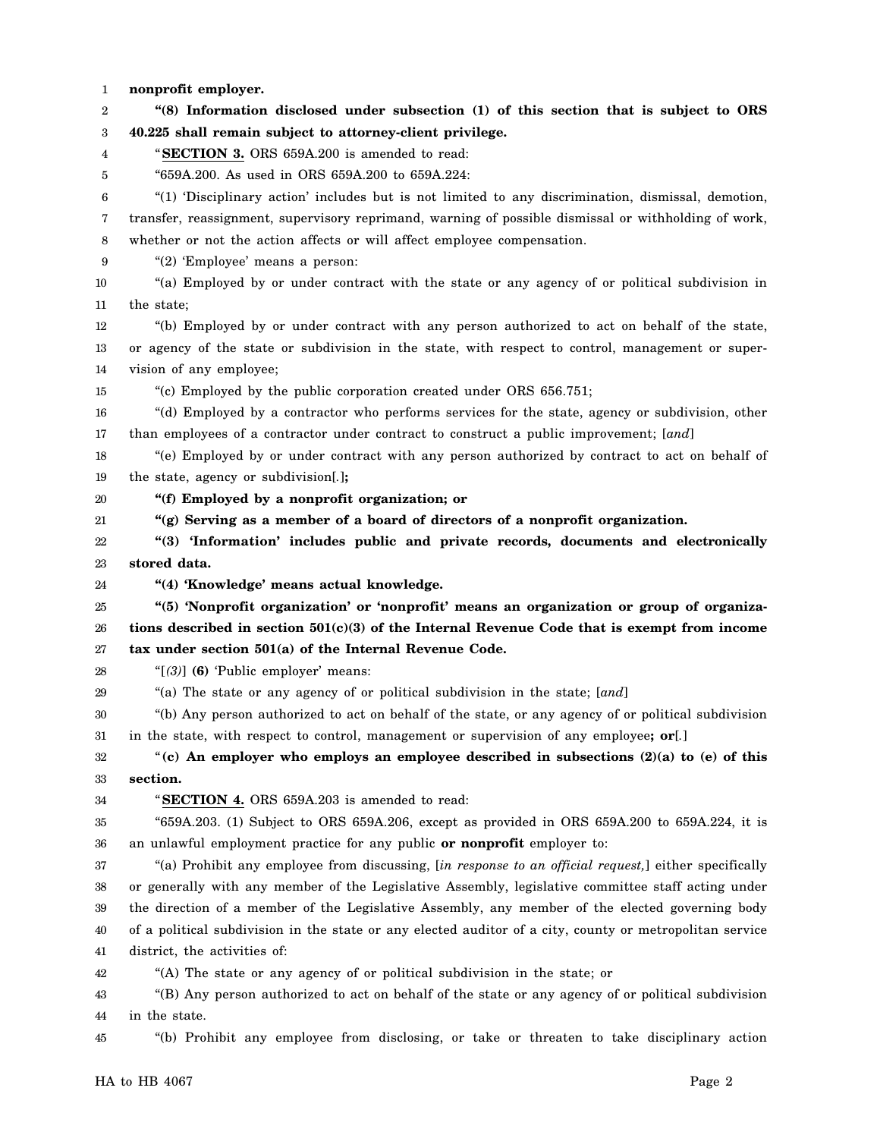1 2 3 4 5 6 7 8 9 10 11 12 13 14 15 16 17 18 19 20 21 22 23 24 25 26 27 28 29 30 31 32 33 34 35 36 37 38 39 40 41 42 43 44 **nonprofit employer. "(8) Information disclosed under subsection (1) of this section that is subject to ORS 40.225 shall remain subject to attorney-client privilege.** "**SECTION 3.** ORS 659A.200 is amended to read: "659A.200. As used in ORS 659A.200 to 659A.224: "(1) 'Disciplinary action' includes but is not limited to any discrimination, dismissal, demotion, transfer, reassignment, supervisory reprimand, warning of possible dismissal or withholding of work, whether or not the action affects or will affect employee compensation. "(2) 'Employee' means a person: "(a) Employed by or under contract with the state or any agency of or political subdivision in the state; "(b) Employed by or under contract with any person authorized to act on behalf of the state, or agency of the state or subdivision in the state, with respect to control, management or supervision of any employee; "(c) Employed by the public corporation created under ORS 656.751; "(d) Employed by a contractor who performs services for the state, agency or subdivision, other than employees of a contractor under contract to construct a public improvement; [*and*] "(e) Employed by or under contract with any person authorized by contract to act on behalf of the state, agency or subdivision[*.*]**; "(f) Employed by a nonprofit organization; or "(g) Serving as a member of a board of directors of a nonprofit organization. "(3) 'Information' includes public and private records, documents and electronically stored data. "(4) 'Knowledge' means actual knowledge. "(5) 'Nonprofit organization' or 'nonprofit' means an organization or group of organizations described in section 501(c)(3) of the Internal Revenue Code that is exempt from income tax under section 501(a) of the Internal Revenue Code.** "[*(3)*] **(6)** 'Public employer' means: "(a) The state or any agency of or political subdivision in the state; [*and*] "(b) Any person authorized to act on behalf of the state, or any agency of or political subdivision in the state, with respect to control, management or supervision of any employee**; or**[*.*] "**(c) An employer who employs an employee described in subsections (2)(a) to (e) of this section.** "**SECTION 4.** ORS 659A.203 is amended to read: "659A.203. (1) Subject to ORS 659A.206, except as provided in ORS 659A.200 to 659A.224, it is an unlawful employment practice for any public **or nonprofit** employer to: "(a) Prohibit any employee from discussing, [*in response to an official request,*] either specifically or generally with any member of the Legislative Assembly, legislative committee staff acting under the direction of a member of the Legislative Assembly, any member of the elected governing body of a political subdivision in the state or any elected auditor of a city, county or metropolitan service district, the activities of: "(A) The state or any agency of or political subdivision in the state; or "(B) Any person authorized to act on behalf of the state or any agency of or political subdivision in the state.

45 "(b) Prohibit any employee from disclosing, or take or threaten to take disciplinary action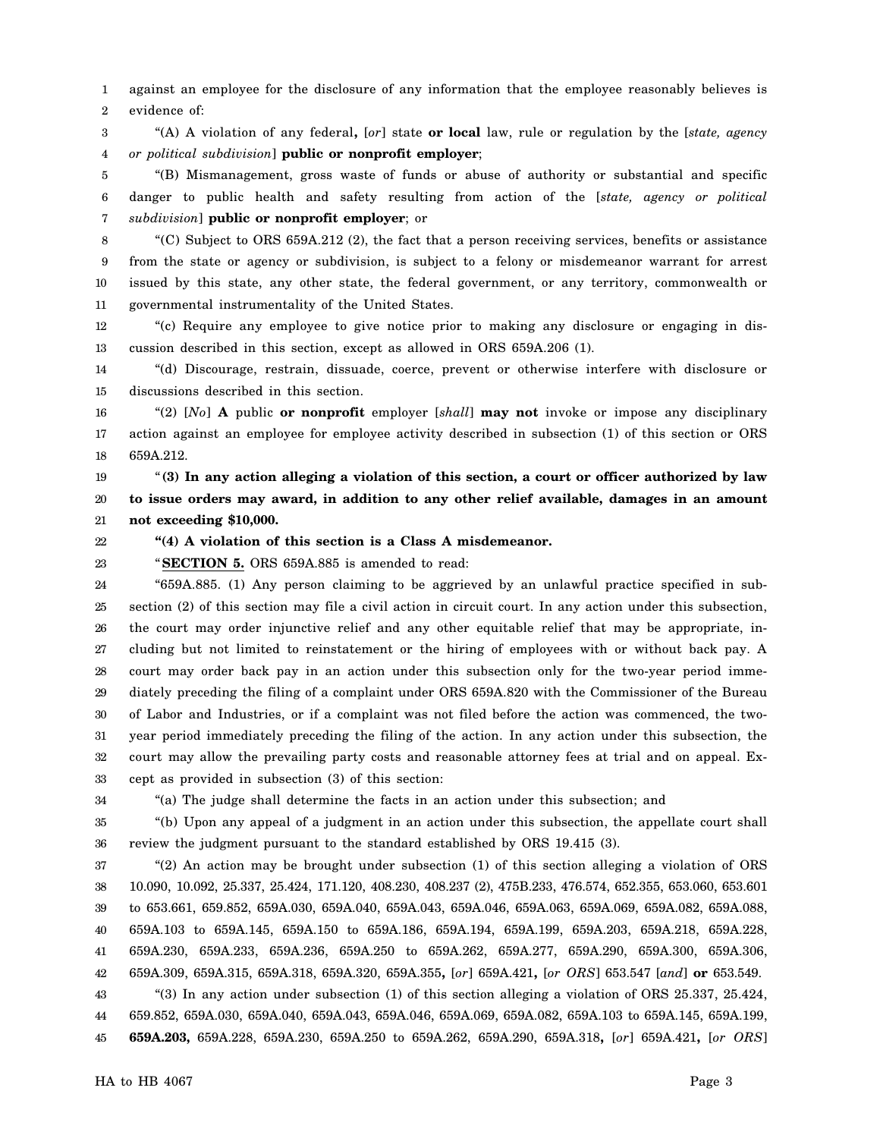1 2 against an employee for the disclosure of any information that the employee reasonably believes is evidence of:

3 4 "(A) A violation of any federal**,** [*or*] state **or local** law, rule or regulation by the [*state, agency or political subdivision*] **public or nonprofit employer**;

5 6 7 "(B) Mismanagement, gross waste of funds or abuse of authority or substantial and specific danger to public health and safety resulting from action of the [*state, agency or political subdivision*] **public or nonprofit employer**; or

8 9 10 11 "(C) Subject to ORS 659A.212 (2), the fact that a person receiving services, benefits or assistance from the state or agency or subdivision, is subject to a felony or misdemeanor warrant for arrest issued by this state, any other state, the federal government, or any territory, commonwealth or governmental instrumentality of the United States.

12 13 "(c) Require any employee to give notice prior to making any disclosure or engaging in discussion described in this section, except as allowed in ORS 659A.206 (1).

14 15 "(d) Discourage, restrain, dissuade, coerce, prevent or otherwise interfere with disclosure or discussions described in this section.

16 17 18 "(2) [*No*] **A** public **or nonprofit** employer [*shall*] **may not** invoke or impose any disciplinary action against an employee for employee activity described in subsection (1) of this section or ORS 659A.212.

19 20 21 "**(3) In any action alleging a violation of this section, a court or officer authorized by law to issue orders may award, in addition to any other relief available, damages in an amount not exceeding \$10,000.**

22

23

"**SECTION 5.** ORS 659A.885 is amended to read:

**"(4) A violation of this section is a Class A misdemeanor.**

24 25 26 27 28 29 30 31 32 33 "659A.885. (1) Any person claiming to be aggrieved by an unlawful practice specified in subsection (2) of this section may file a civil action in circuit court. In any action under this subsection, the court may order injunctive relief and any other equitable relief that may be appropriate, including but not limited to reinstatement or the hiring of employees with or without back pay. A court may order back pay in an action under this subsection only for the two-year period immediately preceding the filing of a complaint under ORS 659A.820 with the Commissioner of the Bureau of Labor and Industries, or if a complaint was not filed before the action was commenced, the twoyear period immediately preceding the filing of the action. In any action under this subsection, the court may allow the prevailing party costs and reasonable attorney fees at trial and on appeal. Except as provided in subsection (3) of this section:

34

"(a) The judge shall determine the facts in an action under this subsection; and

35 36 "(b) Upon any appeal of a judgment in an action under this subsection, the appellate court shall review the judgment pursuant to the standard established by ORS 19.415 (3).

37 38 39 40 41 42 43 "(2) An action may be brought under subsection (1) of this section alleging a violation of ORS 10.090, 10.092, 25.337, 25.424, 171.120, 408.230, 408.237 (2), 475B.233, 476.574, 652.355, 653.060, 653.601 to 653.661, 659.852, 659A.030, 659A.040, 659A.043, 659A.046, 659A.063, 659A.069, 659A.082, 659A.088, 659A.103 to 659A.145, 659A.150 to 659A.186, 659A.194, 659A.199, 659A.203, 659A.218, 659A.228, 659A.230, 659A.233, 659A.236, 659A.250 to 659A.262, 659A.277, 659A.290, 659A.300, 659A.306, 659A.309, 659A.315, 659A.318, 659A.320, 659A.355**,** [*or*] 659A.421**,** [*or ORS*] 653.547 [*and*] **or** 653.549. "(3) In any action under subsection (1) of this section alleging a violation of ORS 25.337, 25.424,

44 45 659.852, 659A.030, 659A.040, 659A.043, 659A.046, 659A.069, 659A.082, 659A.103 to 659A.145, 659A.199, **659A.203,** 659A.228, 659A.230, 659A.250 to 659A.262, 659A.290, 659A.318**,** [*or*] 659A.421**,** [*or ORS*]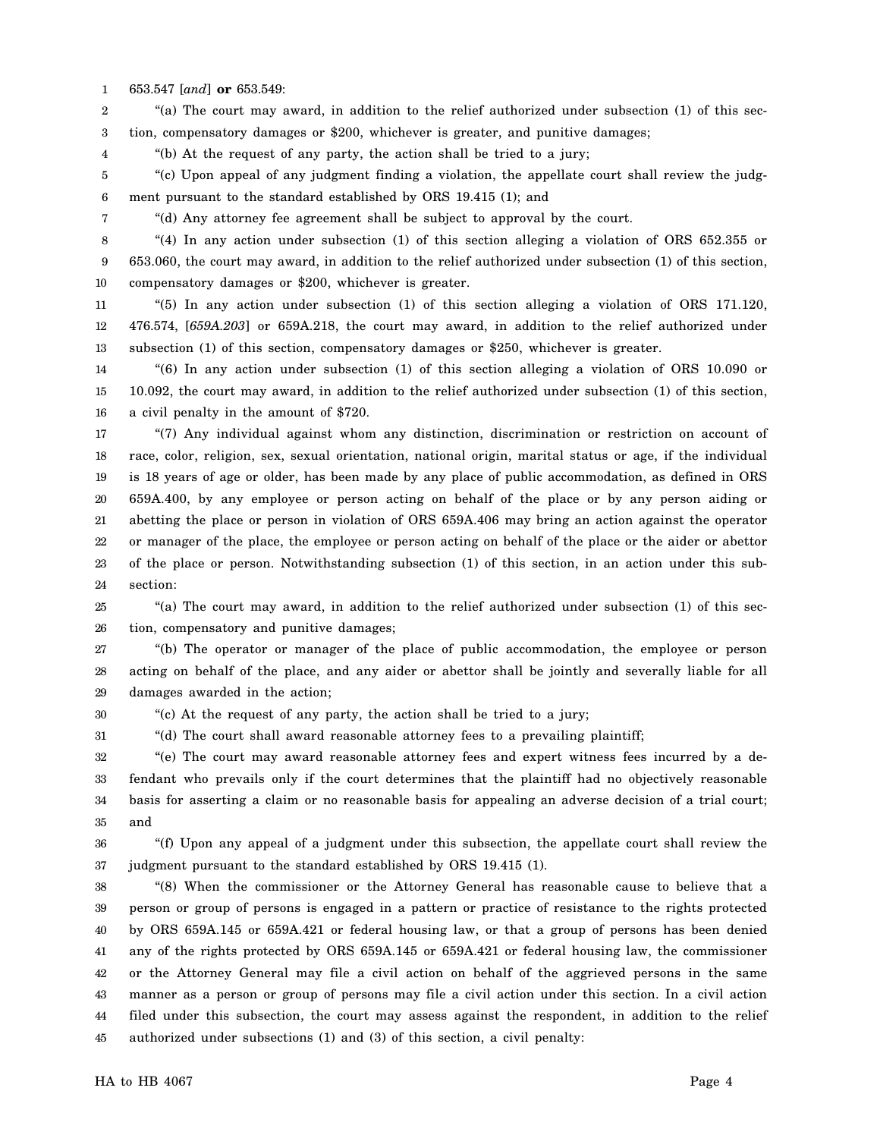1 653.547 [*and*] **or** 653.549:

4

7

2 3 "(a) The court may award, in addition to the relief authorized under subsection (1) of this section, compensatory damages or \$200, whichever is greater, and punitive damages;

"(b) At the request of any party, the action shall be tried to a jury;

5 6 "(c) Upon appeal of any judgment finding a violation, the appellate court shall review the judgment pursuant to the standard established by ORS 19.415 (1); and

"(d) Any attorney fee agreement shall be subject to approval by the court.

8 9 10 "(4) In any action under subsection (1) of this section alleging a violation of ORS 652.355 or 653.060, the court may award, in addition to the relief authorized under subsection (1) of this section, compensatory damages or \$200, whichever is greater.

11 12 13 "(5) In any action under subsection (1) of this section alleging a violation of ORS 171.120, 476.574, [*659A.203*] or 659A.218, the court may award, in addition to the relief authorized under subsection (1) of this section, compensatory damages or \$250, whichever is greater.

14 15 16 "(6) In any action under subsection (1) of this section alleging a violation of ORS 10.090 or 10.092, the court may award, in addition to the relief authorized under subsection (1) of this section, a civil penalty in the amount of \$720.

17 18 19 20 21 22 23 24 "(7) Any individual against whom any distinction, discrimination or restriction on account of race, color, religion, sex, sexual orientation, national origin, marital status or age, if the individual is 18 years of age or older, has been made by any place of public accommodation, as defined in ORS 659A.400, by any employee or person acting on behalf of the place or by any person aiding or abetting the place or person in violation of ORS 659A.406 may bring an action against the operator or manager of the place, the employee or person acting on behalf of the place or the aider or abettor of the place or person. Notwithstanding subsection (1) of this section, in an action under this subsection:

25 26 "(a) The court may award, in addition to the relief authorized under subsection (1) of this section, compensatory and punitive damages;

27 28 29 "(b) The operator or manager of the place of public accommodation, the employee or person acting on behalf of the place, and any aider or abettor shall be jointly and severally liable for all damages awarded in the action;

30 "(c) At the request of any party, the action shall be tried to a jury;

31 "(d) The court shall award reasonable attorney fees to a prevailing plaintiff;

32 33 34 35 "(e) The court may award reasonable attorney fees and expert witness fees incurred by a defendant who prevails only if the court determines that the plaintiff had no objectively reasonable basis for asserting a claim or no reasonable basis for appealing an adverse decision of a trial court; and

36 37 "(f) Upon any appeal of a judgment under this subsection, the appellate court shall review the judgment pursuant to the standard established by ORS 19.415 (1).

38 39 40 41 42 43 44 45 "(8) When the commissioner or the Attorney General has reasonable cause to believe that a person or group of persons is engaged in a pattern or practice of resistance to the rights protected by ORS 659A.145 or 659A.421 or federal housing law, or that a group of persons has been denied any of the rights protected by ORS 659A.145 or 659A.421 or federal housing law, the commissioner or the Attorney General may file a civil action on behalf of the aggrieved persons in the same manner as a person or group of persons may file a civil action under this section. In a civil action filed under this subsection, the court may assess against the respondent, in addition to the relief authorized under subsections (1) and (3) of this section, a civil penalty:

HA to HB 4067 Page 4